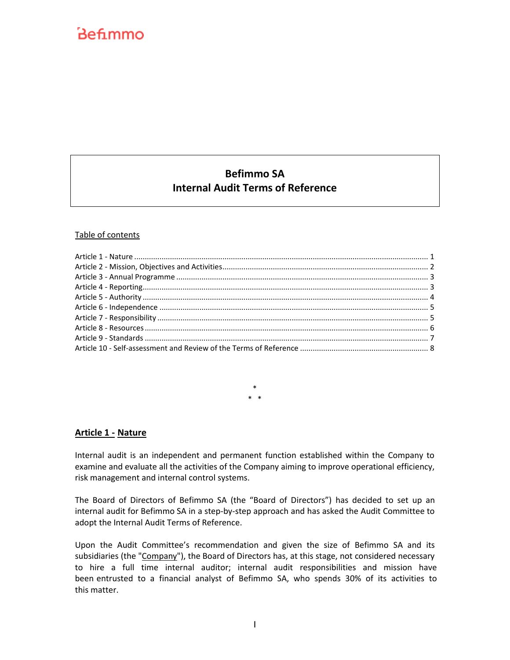# Befimmo

# **Befimmo SA Internal Audit Terms of Reference**

#### Table of contents

\* \* \*

#### <span id="page-0-0"></span>**Article 1 - Nature**

Internal audit is an independent and permanent function established within the Company to examine and evaluate all the activities of the Company aiming to improve operational efficiency, risk management and internal control systems.

The Board of Directors of Befimmo SA (the "Board of Directors") has decided to set up an internal audit for Befimmo SA in a step-by-step approach and has asked the Audit Committee to adopt the Internal Audit Terms of Reference.

Upon the Audit Committee's recommendation and given the size of Befimmo SA and its subsidiaries (the "Company"), the Board of Directors has, at this stage, not considered necessary to hire a full time internal auditor; internal audit responsibilities and mission have been entrusted to a financial analyst of Befimmo SA, who spends 30% of its activities to this matter.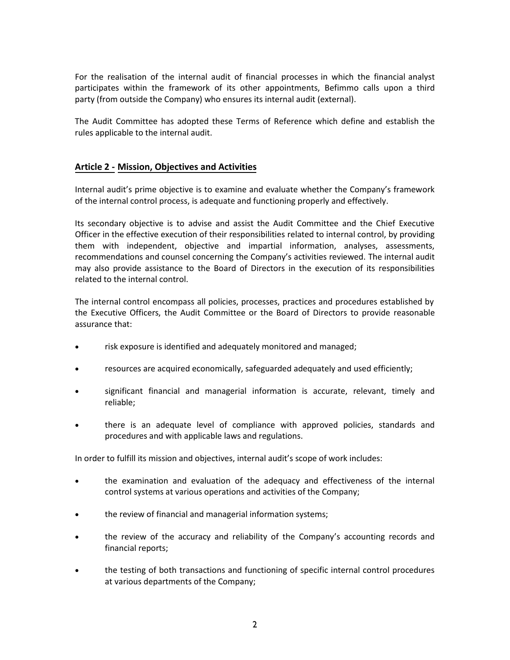For the realisation of the internal audit of financial processes in which the financial analyst participates within the framework of its other appointments, Befimmo calls upon a third party (from outside the Company) who ensures its internal audit (external).

The Audit Committee has adopted these Terms of Reference which define and establish the rules applicable to the internal audit.

# <span id="page-1-0"></span>**Article 2 - Mission, Objectives and Activities**

Internal audit's prime objective is to examine and evaluate whether the Company's framework of the internal control process, is adequate and functioning properly and effectively.

Its secondary objective is to advise and assist the Audit Committee and the Chief Executive Officer in the effective execution of their responsibilities related to internal control, by providing them with independent, objective and impartial information, analyses, assessments, recommendations and counsel concerning the Company's activities reviewed. The internal audit may also provide assistance to the Board of Directors in the execution of its responsibilities related to the internal control.

The internal control encompass all policies, processes, practices and procedures established by the Executive Officers, the Audit Committee or the Board of Directors to provide reasonable assurance that:

- risk exposure is identified and adequately monitored and managed;
- resources are acquired economically, safeguarded adequately and used efficiently;
- significant financial and managerial information is accurate, relevant, timely and reliable;
- there is an adequate level of compliance with approved policies, standards and procedures and with applicable laws and regulations.

In order to fulfill its mission and objectives, internal audit's scope of work includes:

- the examination and evaluation of the adequacy and effectiveness of the internal control systems at various operations and activities of the Company;
- the review of financial and managerial information systems;
- the review of the accuracy and reliability of the Company's accounting records and financial reports;
- the testing of both transactions and functioning of specific internal control procedures at various departments of the Company;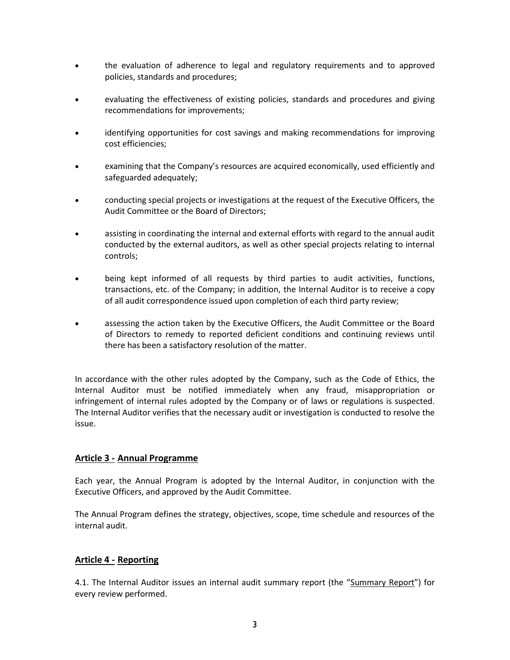- the evaluation of adherence to legal and regulatory requirements and to approved policies, standards and procedures;
- evaluating the effectiveness of existing policies, standards and procedures and giving recommendations for improvements;
- identifying opportunities for cost savings and making recommendations for improving cost efficiencies;
- examining that the Company's resources are acquired economically, used efficiently and safeguarded adequately;
- conducting special projects or investigations at the request of the Executive Officers, the Audit Committee or the Board of Directors;
- assisting in coordinating the internal and external efforts with regard to the annual audit conducted by the external auditors, as well as other special projects relating to internal controls;
- being kept informed of all requests by third parties to audit activities, functions, transactions, etc. of the Company; in addition, the Internal Auditor is to receive a copy of all audit correspondence issued upon completion of each third party review;
- assessing the action taken by the Executive Officers, the Audit Committee or the Board of Directors to remedy to reported deficient conditions and continuing reviews until there has been a satisfactory resolution of the matter.

In accordance with the other rules adopted by the Company, such as the Code of Ethics, the Internal Auditor must be notified immediately when any fraud, misappropriation or infringement of internal rules adopted by the Company or of laws or regulations is suspected. The Internal Auditor verifies that the necessary audit or investigation is conducted to resolve the issue.

# <span id="page-2-0"></span>**Article 3 - Annual Programme**

Each year, the Annual Program is adopted by the Internal Auditor, in conjunction with the Executive Officers, and approved by the Audit Committee.

The Annual Program defines the strategy, objectives, scope, time schedule and resources of the internal audit.

# <span id="page-2-1"></span>**Article 4 - Reporting**

4.1. The Internal Auditor issues an internal audit summary report (the "Summary Report") for every review performed.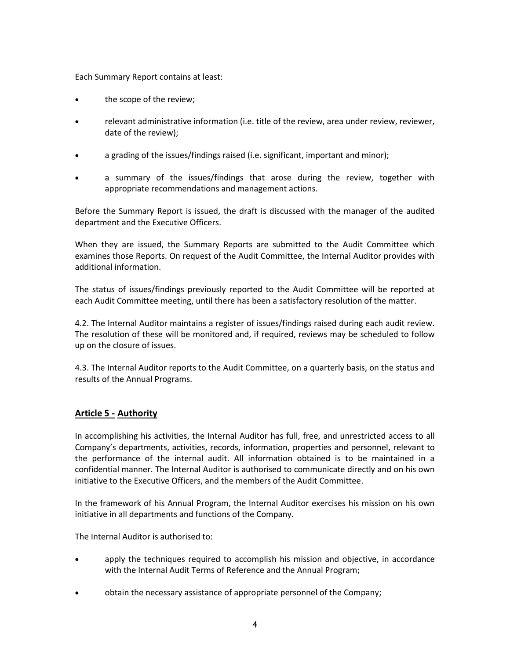Each Summary Report contains at least:

- the scope of the review;
- relevant administrative information (i.e. title of the review, area under review, reviewer, date of the review);
- a grading of the issues/findings raised (i.e. significant, important and minor);
- a summary of the issues/findings that arose during the review, together with appropriate recommendations and management actions.

Before the Summary Report is issued, the draft is discussed with the manager of the audited department and the Executive Officers.

When they are issued, the Summary Reports are submitted to the Audit Committee which examines those Reports. On request of the Audit Committee, the Internal Auditor provides with additional information.

The status of issues/findings previously reported to the Audit Committee will be reported at each Audit Committee meeting, until there has been a satisfactory resolution of the matter.

4.2. The Internal Auditor maintains a register of issues/findings raised during each audit review. The resolution of these will be monitored and, if required, reviews may be scheduled to follow up on the closure of issues.

4.3. The Internal Auditor reports to the Audit Committee, on a quarterly basis, on the status and results of the Annual Programs.

# <span id="page-3-0"></span>**Article 5 - Authority**

In accomplishing his activities, the Internal Auditor has full, free, and unrestricted access to all Company's departments, activities, records, information, properties and personnel, relevant to the performance of the internal audit. All information obtained is to be maintained in a confidential manner. The Internal Auditor is authorised to communicate directly and on his own initiative to the Executive Officers, and the members of the Audit Committee.

In the framework of his Annual Program, the Internal Auditor exercises his mission on his own initiative in all departments and functions of the Company.

The Internal Auditor is authorised to:

- apply the techniques required to accomplish his mission and objective, in accordance with the Internal Audit Terms of Reference and the Annual Program;
- obtain the necessary assistance of appropriate personnel of the Company;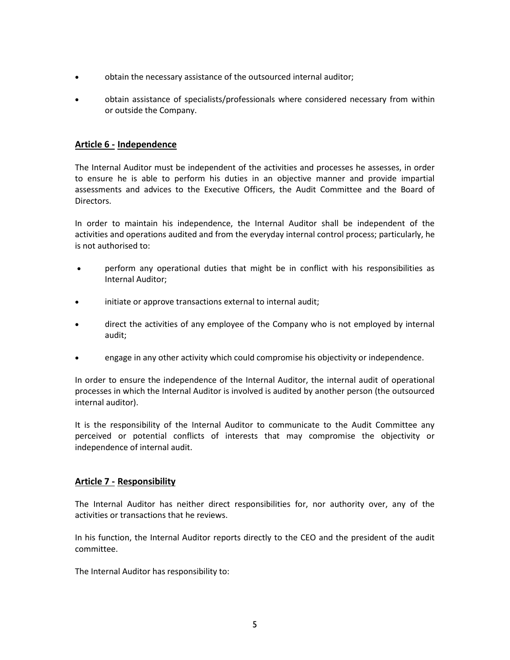- obtain the necessary assistance of the outsourced internal auditor;
- obtain assistance of specialists/professionals where considered necessary from within or outside the Company.

#### <span id="page-4-0"></span>**Article 6 - Independence**

The Internal Auditor must be independent of the activities and processes he assesses, in order to ensure he is able to perform his duties in an objective manner and provide impartial assessments and advices to the Executive Officers, the Audit Committee and the Board of Directors.

In order to maintain his independence, the Internal Auditor shall be independent of the activities and operations audited and from the everyday internal control process; particularly, he is not authorised to:

- perform any operational duties that might be in conflict with his responsibilities as Internal Auditor;
- initiate or approve transactions external to internal audit;
- direct the activities of any employee of the Company who is not employed by internal audit;
- engage in any other activity which could compromise his objectivity or independence.

In order to ensure the independence of the Internal Auditor, the internal audit of operational processes in which the Internal Auditor is involved is audited by another person (the outsourced internal auditor).

It is the responsibility of the Internal Auditor to communicate to the Audit Committee any perceived or potential conflicts of interests that may compromise the objectivity or independence of internal audit.

# <span id="page-4-1"></span>**Article 7 - Responsibility**

The Internal Auditor has neither direct responsibilities for, nor authority over, any of the activities or transactions that he reviews.

In his function, the Internal Auditor reports directly to the CEO and the president of the audit committee.

The Internal Auditor has responsibility to: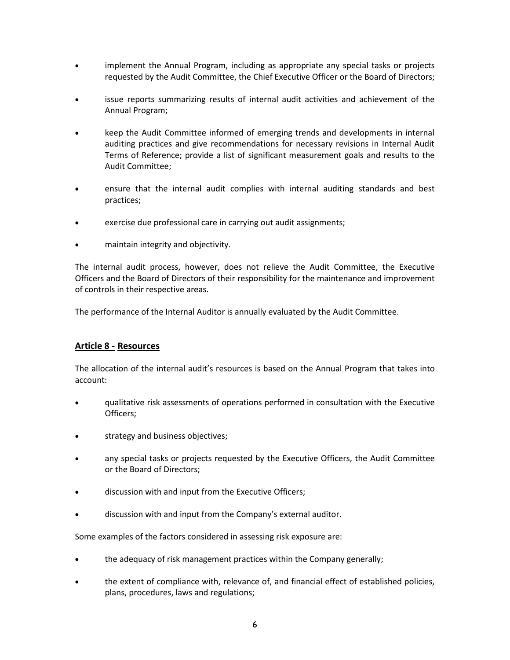- implement the Annual Program, including as appropriate any special tasks or projects requested by the Audit Committee, the Chief Executive Officer or the Board of Directors;
- issue reports summarizing results of internal audit activities and achievement of the Annual Program;
- keep the Audit Committee informed of emerging trends and developments in internal auditing practices and give recommendations for necessary revisions in Internal Audit Terms of Reference; provide a list of significant measurement goals and results to the Audit Committee;
- ensure that the internal audit complies with internal auditing standards and best practices;
- exercise due professional care in carrying out audit assignments;
- maintain integrity and objectivity.

The internal audit process, however, does not relieve the Audit Committee, the Executive Officers and the Board of Directors of their responsibility for the maintenance and improvement of controls in their respective areas.

The performance of the Internal Auditor is annually evaluated by the Audit Committee.

# <span id="page-5-0"></span>**Article 8 - Resources**

The allocation of the internal audit's resources is based on the Annual Program that takes into account:

- qualitative risk assessments of operations performed in consultation with the Executive Officers;
- strategy and business objectives;
- any special tasks or projects requested by the Executive Officers, the Audit Committee or the Board of Directors;
- discussion with and input from the Executive Officers;
- discussion with and input from the Company's external auditor.

Some examples of the factors considered in assessing risk exposure are:

- the adequacy of risk management practices within the Company generally;
- the extent of compliance with, relevance of, and financial effect of established policies, plans, procedures, laws and regulations;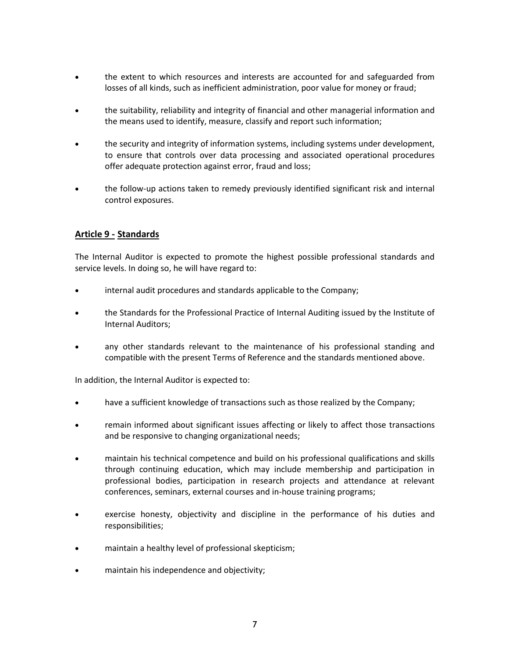- the extent to which resources and interests are accounted for and safeguarded from losses of all kinds, such as inefficient administration, poor value for money or fraud;
- the suitability, reliability and integrity of financial and other managerial information and the means used to identify, measure, classify and report such information;
- the security and integrity of information systems, including systems under development, to ensure that controls over data processing and associated operational procedures offer adequate protection against error, fraud and loss;
- the follow-up actions taken to remedy previously identified significant risk and internal control exposures.

# <span id="page-6-0"></span>**Article 9 - Standards**

The Internal Auditor is expected to promote the highest possible professional standards and service levels. In doing so, he will have regard to:

- internal audit procedures and standards applicable to the Company;
- the Standards for the Professional Practice of Internal Auditing issued by the Institute of Internal Auditors;
- any other standards relevant to the maintenance of his professional standing and compatible with the present Terms of Reference and the standards mentioned above.

In addition, the Internal Auditor is expected to:

- have a sufficient knowledge of transactions such as those realized by the Company;
- remain informed about significant issues affecting or likely to affect those transactions and be responsive to changing organizational needs;
- maintain his technical competence and build on his professional qualifications and skills through continuing education, which may include membership and participation in professional bodies, participation in research projects and attendance at relevant conferences, seminars, external courses and in-house training programs;
- exercise honesty, objectivity and discipline in the performance of his duties and responsibilities;
- maintain a healthy level of professional skepticism;
- maintain his independence and objectivity;